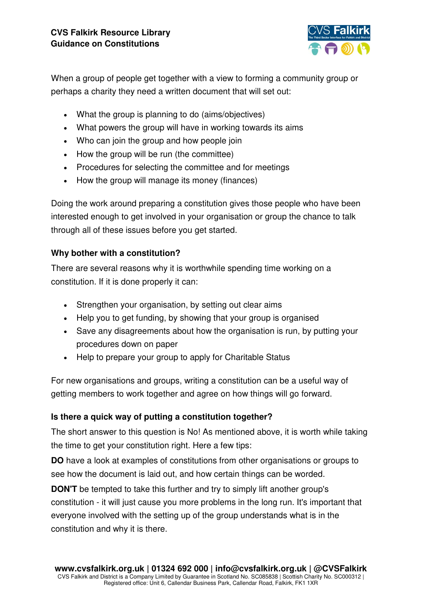

When a group of people get together with a view to forming a community group or perhaps a charity they need a written document that will set out:

- What the group is planning to do (aims/objectives)
- What powers the group will have in working towards its aims
- Who can join the group and how people join
- How the group will be run (the committee)
- Procedures for selecting the committee and for meetings
- How the group will manage its money (finances)

Doing the work around preparing a constitution gives those people who have been interested enough to get involved in your organisation or group the chance to talk through all of these issues before you get started.

### **Why bother with a constitution?**

There are several reasons why it is worthwhile spending time working on a constitution. If it is done properly it can:

- Strengthen your organisation, by setting out clear aims
- Help you to get funding, by showing that your group is organised
- Save any disagreements about how the organisation is run, by putting your procedures down on paper
- Help to prepare your group to apply for Charitable Status

For new organisations and groups, writing a constitution can be a useful way of getting members to work together and agree on how things will go forward.

### **Is there a quick way of putting a constitution together?**

The short answer to this question is No! As mentioned above, it is worth while taking the time to get your constitution right. Here a few tips:

**DO** have a look at examples of constitutions from other organisations or groups to see how the document is laid out, and how certain things can be worded.

**DON'T** be tempted to take this further and try to simply lift another group's constitution - it will just cause you more problems in the long run. It's important that everyone involved with the setting up of the group understands what is in the constitution and why it is there.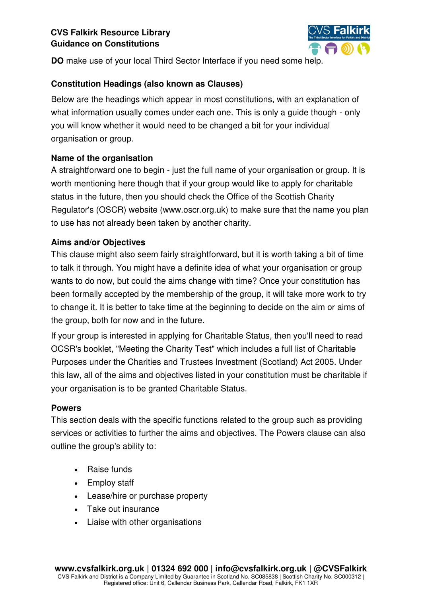

**DO** make use of your local Third Sector Interface if you need some help.

## **Constitution Headings (also known as Clauses)**

Below are the headings which appear in most constitutions, with an explanation of what information usually comes under each one. This is only a quide though - only you will know whether it would need to be changed a bit for your individual organisation or group.

# **Name of the organisation**

A straightforward one to begin - just the full name of your organisation or group. It is worth mentioning here though that if your group would like to apply for charitable status in the future, then you should check the Office of the Scottish Charity Regulator's (OSCR) website (www.oscr.org.uk) to make sure that the name you plan to use has not already been taken by another charity.

# **Aims and/or Objectives**

This clause might also seem fairly straightforward, but it is worth taking a bit of time to talk it through. You might have a definite idea of what your organisation or group wants to do now, but could the aims change with time? Once your constitution has been formally accepted by the membership of the group, it will take more work to try to change it. It is better to take time at the beginning to decide on the aim or aims of the group, both for now and in the future.

If your group is interested in applying for Charitable Status, then you'll need to read OCSR's booklet, "Meeting the Charity Test" which includes a full list of Charitable Purposes under the Charities and Trustees Investment (Scotland) Act 2005. Under this law, all of the aims and objectives listed in your constitution must be charitable if your organisation is to be granted Charitable Status.

## **Powers**

This section deals with the specific functions related to the group such as providing services or activities to further the aims and objectives. The Powers clause can also outline the group's ability to:

- Raise funds
- Employ staff
- Lease/hire or purchase property
- Take out insurance
- Liaise with other organisations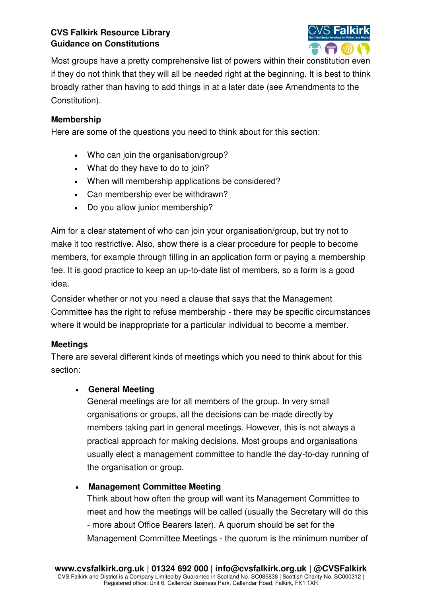

Most groups have a pretty comprehensive list of powers within their constitution even if they do not think that they will all be needed right at the beginning. It is best to think broadly rather than having to add things in at a later date (see Amendments to the Constitution).

### **Membership**

Here are some of the questions you need to think about for this section:

- Who can join the organisation/group?
- What do they have to do to join?
- When will membership applications be considered?
- Can membership ever be withdrawn?
- Do you allow junior membership?

Aim for a clear statement of who can join your organisation/group, but try not to make it too restrictive. Also, show there is a clear procedure for people to become members, for example through filling in an application form or paying a membership fee. It is good practice to keep an up-to-date list of members, so a form is a good idea.

Consider whether or not you need a clause that says that the Management Committee has the right to refuse membership - there may be specific circumstances where it would be inappropriate for a particular individual to become a member.

### **Meetings**

There are several different kinds of meetings which you need to think about for this section:

### **General Meeting**

General meetings are for all members of the group. In very small organisations or groups, all the decisions can be made directly by members taking part in general meetings. However, this is not always a practical approach for making decisions. Most groups and organisations usually elect a management committee to handle the day-to-day running of the organisation or group.

### **Management Committee Meeting**

Think about how often the group will want its Management Committee to meet and how the meetings will be called (usually the Secretary will do this - more about Office Bearers later). A quorum should be set for the Management Committee Meetings - the quorum is the minimum number of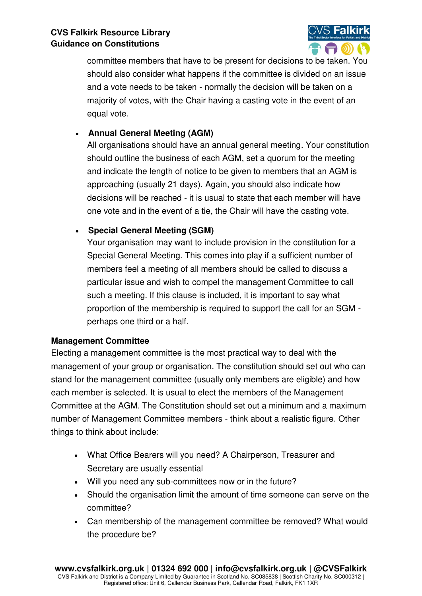

committee members that have to be present for decisions to be taken. You should also consider what happens if the committee is divided on an issue and a vote needs to be taken - normally the decision will be taken on a majority of votes, with the Chair having a casting vote in the event of an equal vote.

## **Annual General Meeting (AGM)**

All organisations should have an annual general meeting. Your constitution should outline the business of each AGM, set a quorum for the meeting and indicate the length of notice to be given to members that an AGM is approaching (usually 21 days). Again, you should also indicate how decisions will be reached - it is usual to state that each member will have one vote and in the event of a tie, the Chair will have the casting vote.

# **Special General Meeting (SGM)**

Your organisation may want to include provision in the constitution for a Special General Meeting. This comes into play if a sufficient number of members feel a meeting of all members should be called to discuss a particular issue and wish to compel the management Committee to call such a meeting. If this clause is included, it is important to say what proportion of the membership is required to support the call for an SGM perhaps one third or a half.

## **Management Committee**

Electing a management committee is the most practical way to deal with the management of your group or organisation. The constitution should set out who can stand for the management committee (usually only members are eligible) and how each member is selected. It is usual to elect the members of the Management Committee at the AGM. The Constitution should set out a minimum and a maximum number of Management Committee members - think about a realistic figure. Other things to think about include:

- What Office Bearers will you need? A Chairperson, Treasurer and Secretary are usually essential
- Will you need any sub-committees now or in the future?
- Should the organisation limit the amount of time someone can serve on the committee?
- Can membership of the management committee be removed? What would the procedure be?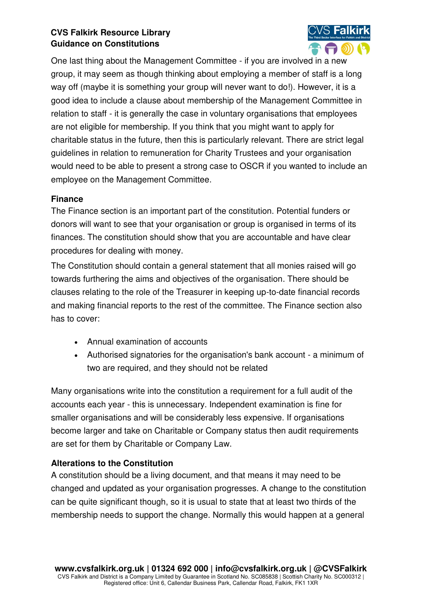

One last thing about the Management Committee - if you are involved in a new group, it may seem as though thinking about employing a member of staff is a long way off (maybe it is something your group will never want to do!). However, it is a good idea to include a clause about membership of the Management Committee in relation to staff - it is generally the case in voluntary organisations that employees are not eligible for membership. If you think that you might want to apply for charitable status in the future, then this is particularly relevant. There are strict legal guidelines in relation to remuneration for Charity Trustees and your organisation would need to be able to present a strong case to OSCR if you wanted to include an employee on the Management Committee.

### **Finance**

The Finance section is an important part of the constitution. Potential funders or donors will want to see that your organisation or group is organised in terms of its finances. The constitution should show that you are accountable and have clear procedures for dealing with money.

The Constitution should contain a general statement that all monies raised will go towards furthering the aims and objectives of the organisation. There should be clauses relating to the role of the Treasurer in keeping up-to-date financial records and making financial reports to the rest of the committee. The Finance section also has to cover:

- Annual examination of accounts
- Authorised signatories for the organisation's bank account a minimum of two are required, and they should not be related

Many organisations write into the constitution a requirement for a full audit of the accounts each year - this is unnecessary. Independent examination is fine for smaller organisations and will be considerably less expensive. If organisations become larger and take on Charitable or Company status then audit requirements are set for them by Charitable or Company Law.

### **Alterations to the Constitution**

A constitution should be a living document, and that means it may need to be changed and updated as your organisation progresses. A change to the constitution can be quite significant though, so it is usual to state that at least two thirds of the membership needs to support the change. Normally this would happen at a general